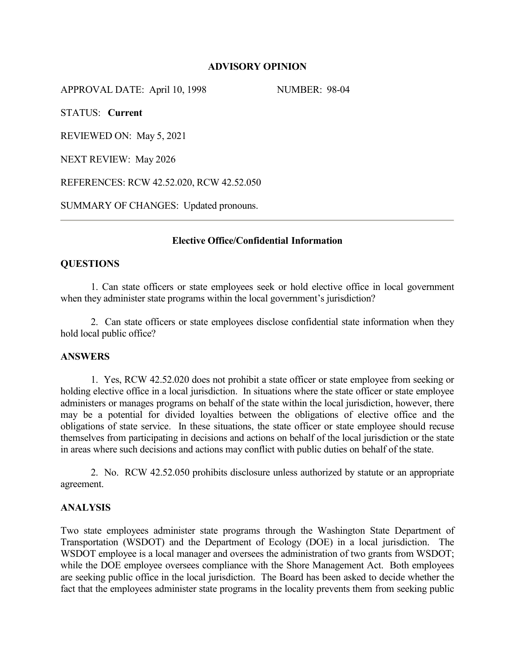### **ADVISORY OPINION**

APPROVAL DATE: April 10, 1998 NUMBER: 98-04

STATUS: **Current**

REVIEWED ON: May 5, 2021

NEXT REVIEW: May 2026

REFERENCES: RCW 42.52.020, RCW 42.52.050

SUMMARY OF CHANGES: Updated pronouns.

# **Elective Office/Confidential Information**

# **QUESTIONS**

1. Can state officers or state employees seek or hold elective office in local government when they administer state programs within the local government's jurisdiction?

2. Can state officers or state employees disclose confidential state information when they hold local public office?

### **ANSWERS**

1. Yes, RCW 42.52.020 does not prohibit a state officer or state employee from seeking or holding elective office in a local jurisdiction. In situations where the state officer or state employee administers or manages programs on behalf of the state within the local jurisdiction, however, there may be a potential for divided loyalties between the obligations of elective office and the obligations of state service. In these situations, the state officer or state employee should recuse themselves from participating in decisions and actions on behalf of the local jurisdiction or the state in areas where such decisions and actions may conflict with public duties on behalf of the state.

2. No. RCW 42.52.050 prohibits disclosure unless authorized by statute or an appropriate agreement.

# **ANALYSIS**

Two state employees administer state programs through the Washington State Department of Transportation (WSDOT) and the Department of Ecology (DOE) in a local jurisdiction. The WSDOT employee is a local manager and oversees the administration of two grants from WSDOT; while the DOE employee oversees compliance with the Shore Management Act. Both employees are seeking public office in the local jurisdiction. The Board has been asked to decide whether the fact that the employees administer state programs in the locality prevents them from seeking public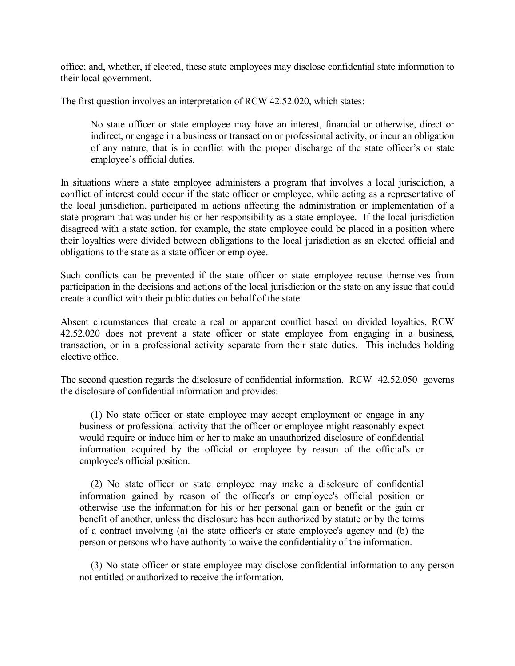office; and, whether, if elected, these state employees may disclose confidential state information to their local government.

The first question involves an interpretation of RCW 42.52.020, which states:

No state officer or state employee may have an interest, financial or otherwise, direct or indirect, or engage in a business or transaction or professional activity, or incur an obligation of any nature, that is in conflict with the proper discharge of the state officer's or state employee's official duties.

In situations where a state employee administers a program that involves a local jurisdiction, a conflict of interest could occur if the state officer or employee, while acting as a representative of the local jurisdiction, participated in actions affecting the administration or implementation of a state program that was under his or her responsibility as a state employee. If the local jurisdiction disagreed with a state action, for example, the state employee could be placed in a position where their loyalties were divided between obligations to the local jurisdiction as an elected official and obligations to the state as a state officer or employee.

Such conflicts can be prevented if the state officer or state employee recuse themselves from participation in the decisions and actions of the local jurisdiction or the state on any issue that could create a conflict with their public duties on behalf of the state.

Absent circumstances that create a real or apparent conflict based on divided loyalties, RCW 42.52.020 does not prevent a state officer or state employee from engaging in a business, transaction, or in a professional activity separate from their state duties. This includes holding elective office.

The second question regards the disclosure of confidential information. RCW 42.52.050 governs the disclosure of confidential information and provides:

(1) No state officer or state employee may accept employment or engage in any business or professional activity that the officer or employee might reasonably expect would require or induce him or her to make an unauthorized disclosure of confidential information acquired by the official or employee by reason of the official's or employee's official position.

(2) No state officer or state employee may make a disclosure of confidential information gained by reason of the officer's or employee's official position or otherwise use the information for his or her personal gain or benefit or the gain or benefit of another, unless the disclosure has been authorized by statute or by the terms of a contract involving (a) the state officer's or state employee's agency and (b) the person or persons who have authority to waive the confidentiality of the information.

(3) No state officer or state employee may disclose confidential information to any person not entitled or authorized to receive the information.